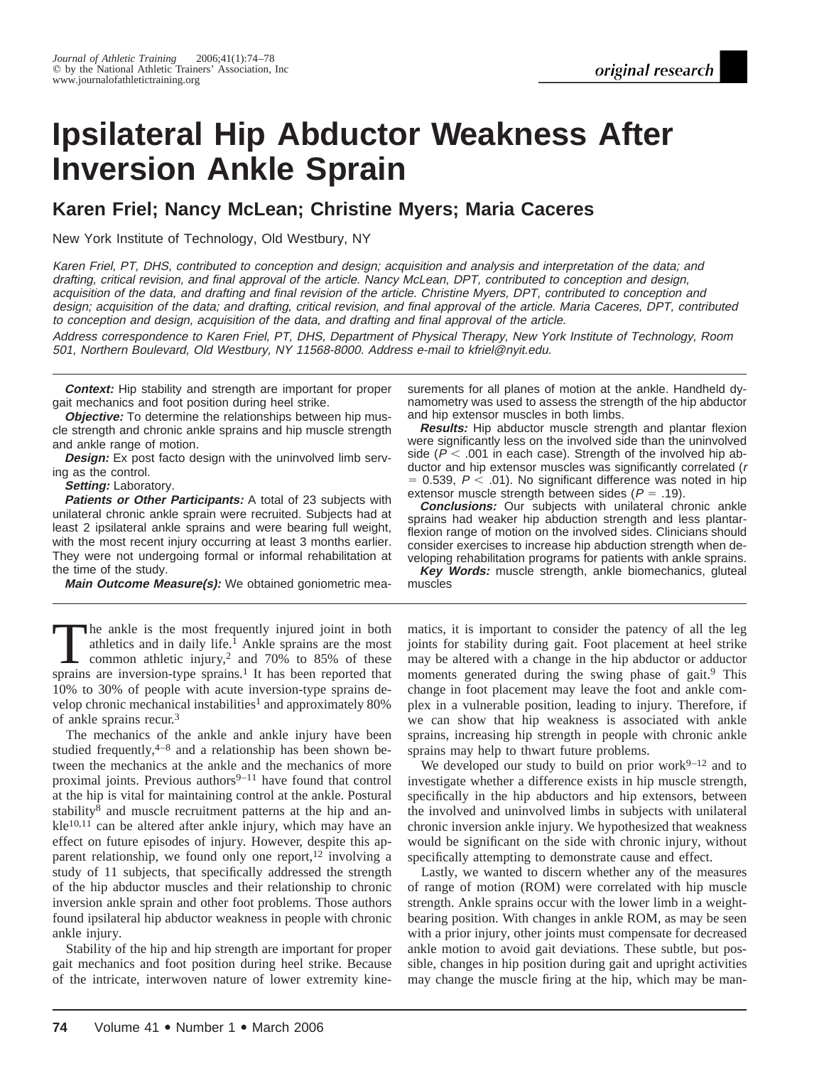# **Ipsilateral Hip Abductor Weakness After Inversion Ankle Sprain**

# **Karen Friel; Nancy McLean; Christine Myers; Maria Caceres**

New York Institute of Technology, Old Westbury, NY

Karen Friel, PT, DHS, contributed to conception and design; acquisition and analysis and interpretation of the data; and drafting, critical revision, and final approval of the article. Nancy McLean, DPT, contributed to conception and design, acquisition of the data, and drafting and final revision of the article. Christine Myers, DPT, contributed to conception and design; acquisition of the data; and drafting, critical revision, and final approval of the article. Maria Caceres, DPT, contributed to conception and design, acquisition of the data, and drafting and final approval of the article.

Address correspondence to Karen Friel, PT, DHS, Department of Physical Therapy, New York Institute of Technology, Room 501, Northern Boulevard, Old Westbury, NY 11568-8000. Address e-mail to kfriel@nyit.edu.

**Context:** Hip stability and strength are important for proper gait mechanics and foot position during heel strike.

**Objective:** To determine the relationships between hip muscle strength and chronic ankle sprains and hip muscle strength and ankle range of motion.

**Design:** Ex post facto design with the uninvolved limb serving as the control.

**Setting:** Laboratory.

**Patients or Other Participants:** A total of 23 subjects with unilateral chronic ankle sprain were recruited. Subjects had at least 2 ipsilateral ankle sprains and were bearing full weight, with the most recent injury occurring at least 3 months earlier. They were not undergoing formal or informal rehabilitation at the time of the study.

**Main Outcome Measure(s):** We obtained goniometric mea-

The ankle is the most frequently injured joint in both<br>athletics and in daily life.<sup>1</sup> Ankle sprains are the most<br>common athletic injury,<sup>2</sup> and 70% to 85% of these<br>sprains are inversion-type sprains.<sup>1</sup> It has been repor athletics and in daily life.<sup>1</sup> Ankle sprains are the most common athletic injury,<sup>2</sup> and  $70\%$  to 85% of these sprains are inversion-type sprains.<sup>1</sup> It has been reported that 10% to 30% of people with acute inversion-type sprains develop chronic mechanical instabilities<sup>1</sup> and approximately 80% of ankle sprains recur.3

The mechanics of the ankle and ankle injury have been studied frequently,  $4-8$  and a relationship has been shown between the mechanics at the ankle and the mechanics of more proximal joints. Previous authors $9-11$  have found that control at the hip is vital for maintaining control at the ankle. Postural stability<sup>8</sup> and muscle recruitment patterns at the hip and an $kle<sup>10,11</sup>$  can be altered after ankle injury, which may have an effect on future episodes of injury. However, despite this apparent relationship, we found only one report, $^{12}$  involving a study of 11 subjects, that specifically addressed the strength of the hip abductor muscles and their relationship to chronic inversion ankle sprain and other foot problems. Those authors found ipsilateral hip abductor weakness in people with chronic ankle injury.

Stability of the hip and hip strength are important for proper gait mechanics and foot position during heel strike. Because of the intricate, interwoven nature of lower extremity kinesurements for all planes of motion at the ankle. Handheld dynamometry was used to assess the strength of the hip abductor and hip extensor muscles in both limbs.

**Results:** Hip abductor muscle strength and plantar flexion were significantly less on the involved side than the uninvolved side ( $P < .001$  in each case). Strength of the involved hip abductor and hip extensor muscles was significantly correlated (<sup>r</sup>  $= 0.539, P < .01$ ). No significant difference was noted in hip extensor muscle strength between sides ( $P = .19$ ).

**Conclusions:** Our subjects with unilateral chronic ankle sprains had weaker hip abduction strength and less plantarflexion range of motion on the involved sides. Clinicians should consider exercises to increase hip abduction strength when developing rehabilitation programs for patients with ankle sprains.

**Key Words:** muscle strength, ankle biomechanics, gluteal muscles

matics, it is important to consider the patency of all the leg joints for stability during gait. Foot placement at heel strike may be altered with a change in the hip abductor or adductor moments generated during the swing phase of gait.<sup>9</sup> This change in foot placement may leave the foot and ankle complex in a vulnerable position, leading to injury. Therefore, if we can show that hip weakness is associated with ankle sprains, increasing hip strength in people with chronic ankle sprains may help to thwart future problems.

We developed our study to build on prior work $9-12$  and to investigate whether a difference exists in hip muscle strength, specifically in the hip abductors and hip extensors, between the involved and uninvolved limbs in subjects with unilateral chronic inversion ankle injury. We hypothesized that weakness would be significant on the side with chronic injury, without specifically attempting to demonstrate cause and effect.

Lastly, we wanted to discern whether any of the measures of range of motion (ROM) were correlated with hip muscle strength. Ankle sprains occur with the lower limb in a weightbearing position. With changes in ankle ROM, as may be seen with a prior injury, other joints must compensate for decreased ankle motion to avoid gait deviations. These subtle, but possible, changes in hip position during gait and upright activities may change the muscle firing at the hip, which may be man-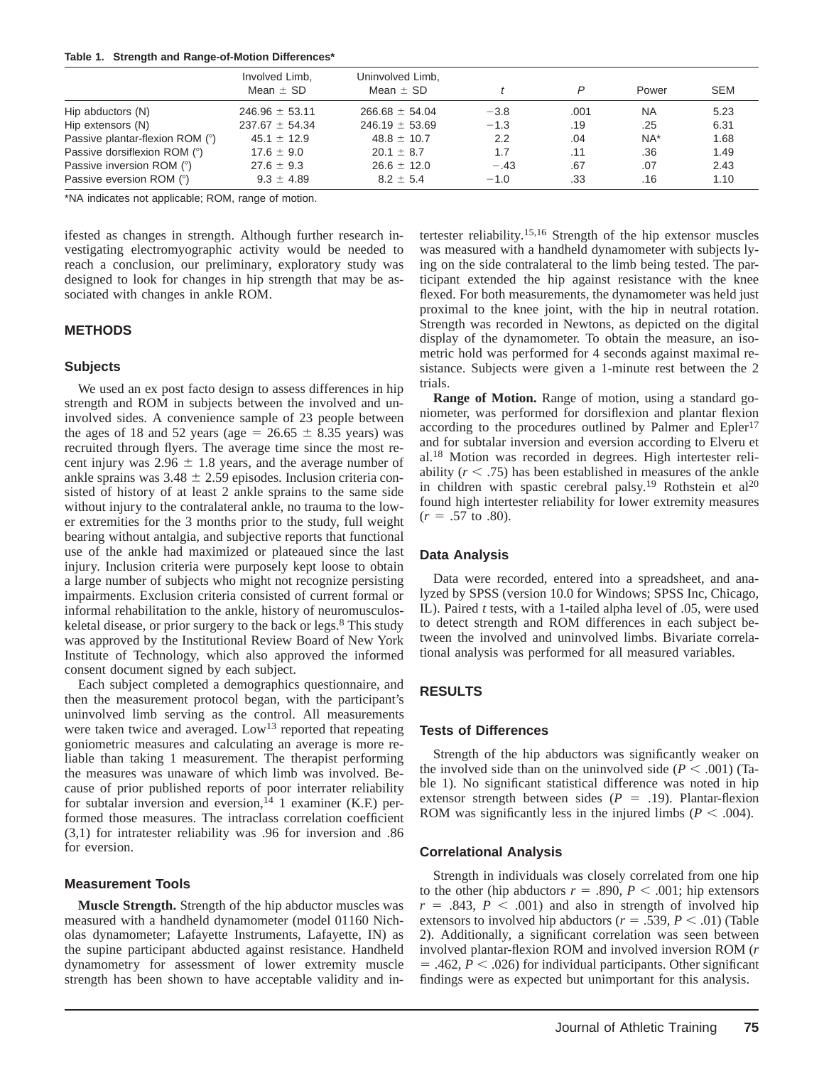|  |  | Table 1. Strength and Range-of-Motion Differences* |  |
|--|--|----------------------------------------------------|--|
|--|--|----------------------------------------------------|--|

|                                 | Involved Limb,<br>Mean $\pm$ SD | Uninvolved Limb,<br>Mean $\pm$ SD |        | P    | Power     | <b>SEM</b> |
|---------------------------------|---------------------------------|-----------------------------------|--------|------|-----------|------------|
| Hip abductors (N)               | $246.96 \pm 53.11$              | $266.68 \pm 54.04$                | $-3.8$ | .001 | <b>NA</b> | 5.23       |
| Hip extensors (N)               | $237.67 \pm 54.34$              | $246.19 \pm 53.69$                | $-1.3$ | .19  | .25       | 6.31       |
| Passive plantar-flexion ROM (°) | $45.1 \pm 12.9$                 | $48.8 \pm 10.7$                   | 2.2    | .04  | $NA^*$    | 1.68       |
| Passive dorsiflexion ROM (°)    | $17.6 \pm 9.0$                  | $20.1 \pm 8.7$                    | 1.7    | .11  | .36       | 1.49       |
| Passive inversion ROM (°)       | $27.6 \pm 9.3$                  | $26.6 \pm 12.0$                   | $-.43$ | .67  | .07       | 2.43       |
| Passive eversion ROM (°)        | $9.3 \pm 4.89$                  | $8.2 \pm 5.4$                     | $-1.0$ | .33  | .16       | 1.10       |

\*NA indicates not applicable; ROM, range of motion.

ifested as changes in strength. Although further research investigating electromyographic activity would be needed to reach a conclusion, our preliminary, exploratory study was designed to look for changes in hip strength that may be associated with changes in ankle ROM.

# **METHODS**

#### **Subjects**

We used an ex post facto design to assess differences in hip strength and ROM in subjects between the involved and uninvolved sides. A convenience sample of 23 people between the ages of 18 and 52 years (age =  $26.65 \pm 8.35$  years) was recruited through flyers. The average time since the most recent injury was  $2.96 \pm 1.8$  years, and the average number of ankle sprains was  $3.48 \pm 2.59$  episodes. Inclusion criteria consisted of history of at least 2 ankle sprains to the same side without injury to the contralateral ankle, no trauma to the lower extremities for the 3 months prior to the study, full weight bearing without antalgia, and subjective reports that functional use of the ankle had maximized or plateaued since the last injury. Inclusion criteria were purposely kept loose to obtain a large number of subjects who might not recognize persisting impairments. Exclusion criteria consisted of current formal or informal rehabilitation to the ankle, history of neuromusculoskeletal disease, or prior surgery to the back or legs.<sup>8</sup> This study was approved by the Institutional Review Board of New York Institute of Technology, which also approved the informed consent document signed by each subject.

Each subject completed a demographics questionnaire, and then the measurement protocol began, with the participant's uninvolved limb serving as the control. All measurements were taken twice and averaged. Low<sup>13</sup> reported that repeating goniometric measures and calculating an average is more reliable than taking 1 measurement. The therapist performing the measures was unaware of which limb was involved. Because of prior published reports of poor interrater reliability for subtalar inversion and eversion,<sup>14</sup> 1 examiner (K.F.) performed those measures. The intraclass correlation coefficient (3,1) for intratester reliability was .96 for inversion and .86 for eversion.

#### **Measurement Tools**

**Muscle Strength.** Strength of the hip abductor muscles was measured with a handheld dynamometer (model 01160 Nicholas dynamometer; Lafayette Instruments, Lafayette, IN) as the supine participant abducted against resistance. Handheld dynamometry for assessment of lower extremity muscle strength has been shown to have acceptable validity and in-

tertester reliability.15,16 Strength of the hip extensor muscles was measured with a handheld dynamometer with subjects lying on the side contralateral to the limb being tested. The participant extended the hip against resistance with the knee flexed. For both measurements, the dynamometer was held just proximal to the knee joint, with the hip in neutral rotation. Strength was recorded in Newtons, as depicted on the digital display of the dynamometer. To obtain the measure, an isometric hold was performed for 4 seconds against maximal resistance. Subjects were given a 1-minute rest between the 2 trials.

**Range of Motion.** Range of motion, using a standard goniometer, was performed for dorsiflexion and plantar flexion according to the procedures outlined by Palmer and Epler<sup>17</sup> and for subtalar inversion and eversion according to Elveru et al.18 Motion was recorded in degrees. High intertester reliability  $(r < .75)$  has been established in measures of the ankle in children with spastic cerebral palsy.<sup>19</sup> Rothstein et al<sup>20</sup> found high intertester reliability for lower extremity measures  $(r = .57 \text{ to } .80).$ 

#### **Data Analysis**

Data were recorded, entered into a spreadsheet, and analyzed by SPSS (version 10.0 for Windows; SPSS Inc, Chicago, IL). Paired *t* tests, with a 1-tailed alpha level of .05, were used to detect strength and ROM differences in each subject between the involved and uninvolved limbs. Bivariate correlational analysis was performed for all measured variables.

# **RESULTS**

#### **Tests of Differences**

Strength of the hip abductors was significantly weaker on the involved side than on the uninvolved side ( $P < .001$ ) (Table 1). No significant statistical difference was noted in hip extensor strength between sides  $(P = .19)$ . Plantar-flexion ROM was significantly less in the injured limbs ( $P < .004$ ).

# **Correlational Analysis**

Strength in individuals was closely correlated from one hip to the other (hip abductors  $r = .890$ ,  $P < .001$ ; hip extensors  $r = .843$ ,  $P < .001$ ) and also in strength of involved hip extensors to involved hip abductors ( $r = .539, P < .01$ ) (Table 2). Additionally, a significant correlation was seen between involved plantar-flexion ROM and involved inversion ROM (*r*  $=$  .462,  $P <$  .026) for individual participants. Other significant findings were as expected but unimportant for this analysis.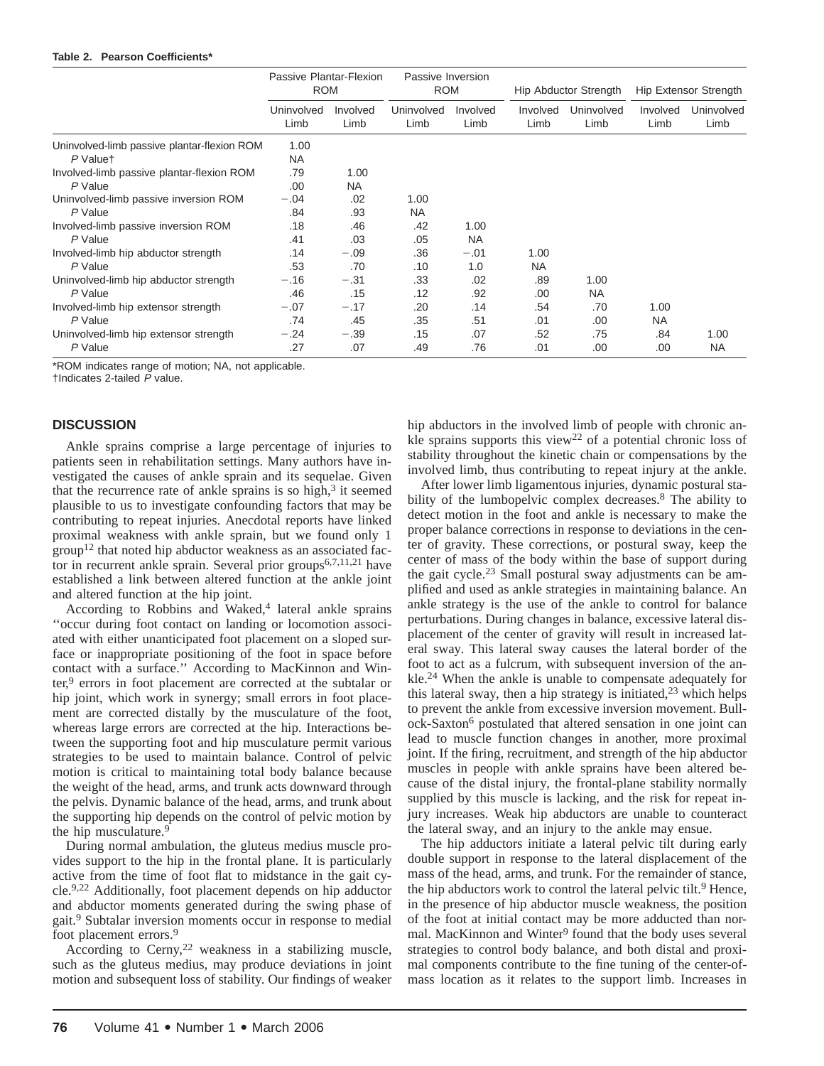#### **Table 2. Pearson Coefficients\***

|                                                         | Passive Plantar-Flexion<br><b>ROM</b> |                   | Passive Inversion<br><b>ROM</b> |                   | Hip Abductor Strength |                    | Hip Extensor Strength |                    |
|---------------------------------------------------------|---------------------------------------|-------------------|---------------------------------|-------------------|-----------------------|--------------------|-----------------------|--------------------|
|                                                         | Uninvolved<br>Limb                    | Involved<br>Limb  | Uninvolved<br>Limb              | Involved<br>Limb  | Involved<br>Limb      | Uninvolved<br>Limb | Involved<br>Limb      | Uninvolved<br>Limb |
| Uninvolved-limb passive plantar-flexion ROM<br>P Valuet | 1.00<br><b>NA</b>                     |                   |                                 |                   |                       |                    |                       |                    |
| Involved-limb passive plantar-flexion ROM<br>P Value    | .79<br>.00                            | 1.00<br><b>NA</b> |                                 |                   |                       |                    |                       |                    |
| Uninvolved-limb passive inversion ROM<br>P Value        | $-.04$<br>.84                         | .02<br>.93        | 1.00<br>NA.                     |                   |                       |                    |                       |                    |
| Involved-limb passive inversion ROM<br>P Value          | .18<br>.41                            | .46<br>.03        | .42<br>.05                      | 1.00<br><b>NA</b> |                       |                    |                       |                    |
| Involved-limb hip abductor strength<br>P Value          | .14<br>.53                            | $-.09$<br>.70     | .36<br>.10                      | $-.01$<br>1.0     | 1.00<br><b>NA</b>     |                    |                       |                    |
| Uninvolved-limb hip abductor strength<br>P Value        | $-.16$<br>.46                         | $-.31$<br>.15     | .33<br>.12                      | .02<br>.92        | .89<br>.00            | 1.00<br><b>NA</b>  |                       |                    |
| Involved-limb hip extensor strength<br>P Value          | $-.07$<br>.74                         | $-.17$<br>.45     | .20<br>.35                      | .14<br>.51        | .54<br>.01            | .70<br>.00         | 1.00<br><b>NA</b>     |                    |
| Uninvolved-limb hip extensor strength<br>P Value        | $-.24$<br>.27                         | $-.39$<br>.07     | .15<br>.49                      | .07<br>.76        | .52<br>.01            | .75<br>.00         | .84<br>.00            | 1.00<br><b>NA</b>  |

\*ROM indicates range of motion; NA, not applicable.

†Indicates 2-tailed P value.

# **DISCUSSION**

Ankle sprains comprise a large percentage of injuries to patients seen in rehabilitation settings. Many authors have investigated the causes of ankle sprain and its sequelae. Given that the recurrence rate of ankle sprains is so high, $3$  it seemed plausible to us to investigate confounding factors that may be contributing to repeat injuries. Anecdotal reports have linked proximal weakness with ankle sprain, but we found only 1  $group<sup>12</sup>$  that noted hip abductor weakness as an associated factor in recurrent ankle sprain. Several prior groups $6,7,11,21$  have established a link between altered function at the ankle joint and altered function at the hip joint.

According to Robbins and Waked,<sup>4</sup> lateral ankle sprains ''occur during foot contact on landing or locomotion associated with either unanticipated foot placement on a sloped surface or inappropriate positioning of the foot in space before contact with a surface.'' According to MacKinnon and Winter,<sup>9</sup> errors in foot placement are corrected at the subtalar or hip joint, which work in synergy; small errors in foot placement are corrected distally by the musculature of the foot, whereas large errors are corrected at the hip. Interactions between the supporting foot and hip musculature permit various strategies to be used to maintain balance. Control of pelvic motion is critical to maintaining total body balance because the weight of the head, arms, and trunk acts downward through the pelvis. Dynamic balance of the head, arms, and trunk about the supporting hip depends on the control of pelvic motion by the hip musculature.<sup>9</sup>

During normal ambulation, the gluteus medius muscle provides support to the hip in the frontal plane. It is particularly active from the time of foot flat to midstance in the gait cycle.9,22 Additionally, foot placement depends on hip adductor and abductor moments generated during the swing phase of gait.9 Subtalar inversion moments occur in response to medial foot placement errors.<sup>9</sup>

According to Cerny,<sup>22</sup> weakness in a stabilizing muscle, such as the gluteus medius, may produce deviations in joint motion and subsequent loss of stability. Our findings of weaker hip abductors in the involved limb of people with chronic ankle sprains supports this view22 of a potential chronic loss of stability throughout the kinetic chain or compensations by the involved limb, thus contributing to repeat injury at the ankle.

After lower limb ligamentous injuries, dynamic postural stability of the lumbopelvic complex decreases.<sup>8</sup> The ability to detect motion in the foot and ankle is necessary to make the proper balance corrections in response to deviations in the center of gravity. These corrections, or postural sway, keep the center of mass of the body within the base of support during the gait cycle.23 Small postural sway adjustments can be amplified and used as ankle strategies in maintaining balance. An ankle strategy is the use of the ankle to control for balance perturbations. During changes in balance, excessive lateral displacement of the center of gravity will result in increased lateral sway. This lateral sway causes the lateral border of the foot to act as a fulcrum, with subsequent inversion of the ankle.24 When the ankle is unable to compensate adequately for this lateral sway, then a hip strategy is initiated, $2<sup>3</sup>$  which helps to prevent the ankle from excessive inversion movement. Bullock-Saxton6 postulated that altered sensation in one joint can lead to muscle function changes in another, more proximal joint. If the firing, recruitment, and strength of the hip abductor muscles in people with ankle sprains have been altered because of the distal injury, the frontal-plane stability normally supplied by this muscle is lacking, and the risk for repeat injury increases. Weak hip abductors are unable to counteract the lateral sway, and an injury to the ankle may ensue.

The hip adductors initiate a lateral pelvic tilt during early double support in response to the lateral displacement of the mass of the head, arms, and trunk. For the remainder of stance, the hip abductors work to control the lateral pelvic tilt.<sup>9</sup> Hence, in the presence of hip abductor muscle weakness, the position of the foot at initial contact may be more adducted than normal. MacKinnon and Winter<sup>9</sup> found that the body uses several strategies to control body balance, and both distal and proximal components contribute to the fine tuning of the center-ofmass location as it relates to the support limb. Increases in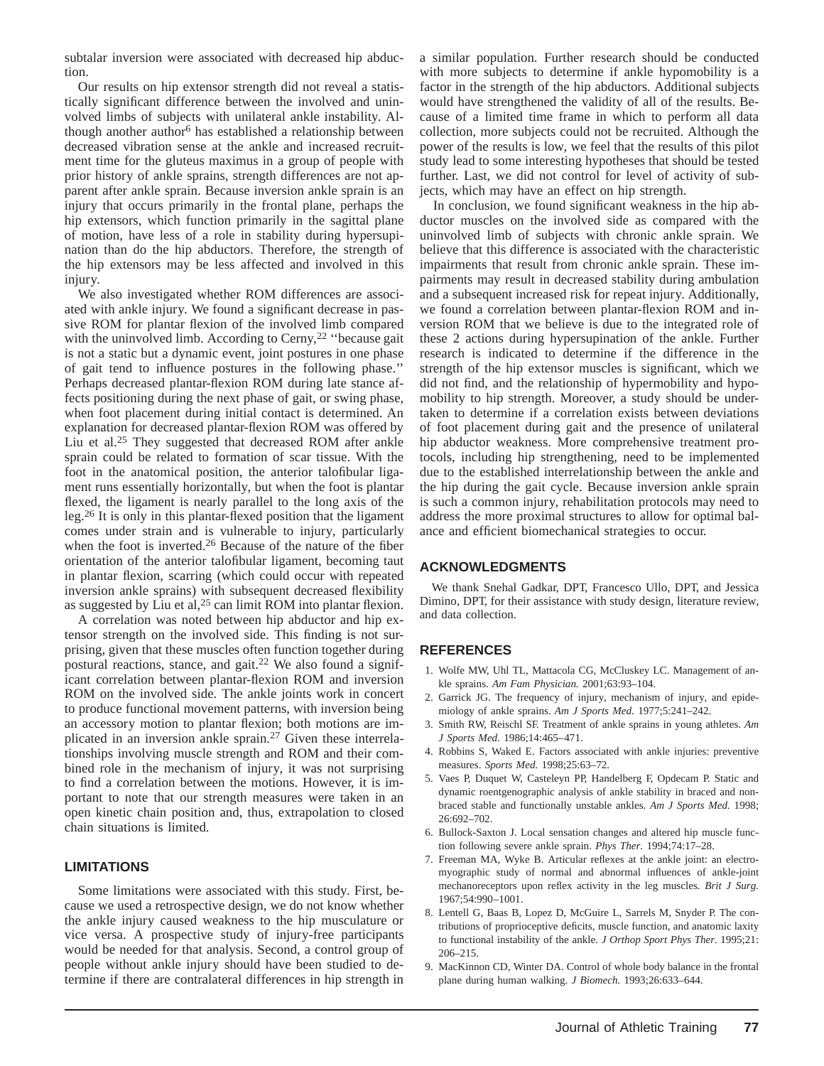subtalar inversion were associated with decreased hip abduction.

Our results on hip extensor strength did not reveal a statistically significant difference between the involved and uninvolved limbs of subjects with unilateral ankle instability. Although another author<sup>6</sup> has established a relationship between decreased vibration sense at the ankle and increased recruitment time for the gluteus maximus in a group of people with prior history of ankle sprains, strength differences are not apparent after ankle sprain. Because inversion ankle sprain is an injury that occurs primarily in the frontal plane, perhaps the hip extensors, which function primarily in the sagittal plane of motion, have less of a role in stability during hypersupination than do the hip abductors. Therefore, the strength of the hip extensors may be less affected and involved in this injury.

We also investigated whether ROM differences are associated with ankle injury. We found a significant decrease in passive ROM for plantar flexion of the involved limb compared with the uninvolved limb. According to Cerny, $2<sup>2</sup>$  "because gait is not a static but a dynamic event, joint postures in one phase of gait tend to influence postures in the following phase.'' Perhaps decreased plantar-flexion ROM during late stance affects positioning during the next phase of gait, or swing phase, when foot placement during initial contact is determined. An explanation for decreased plantar-flexion ROM was offered by Liu et al.25 They suggested that decreased ROM after ankle sprain could be related to formation of scar tissue. With the foot in the anatomical position, the anterior talofibular ligament runs essentially horizontally, but when the foot is plantar flexed, the ligament is nearly parallel to the long axis of the leg.26 It is only in this plantar-flexed position that the ligament comes under strain and is vulnerable to injury, particularly when the foot is inverted.26 Because of the nature of the fiber orientation of the anterior talofibular ligament, becoming taut in plantar flexion, scarring (which could occur with repeated inversion ankle sprains) with subsequent decreased flexibility as suggested by Liu et al,<sup>25</sup> can limit ROM into plantar flexion.

A correlation was noted between hip abductor and hip extensor strength on the involved side. This finding is not surprising, given that these muscles often function together during postural reactions, stance, and gait.22 We also found a significant correlation between plantar-flexion ROM and inversion ROM on the involved side. The ankle joints work in concert to produce functional movement patterns, with inversion being an accessory motion to plantar flexion; both motions are implicated in an inversion ankle sprain.27 Given these interrelationships involving muscle strength and ROM and their combined role in the mechanism of injury, it was not surprising to find a correlation between the motions. However, it is important to note that our strength measures were taken in an open kinetic chain position and, thus, extrapolation to closed chain situations is limited.

# **LIMITATIONS**

Some limitations were associated with this study. First, because we used a retrospective design, we do not know whether the ankle injury caused weakness to the hip musculature or vice versa. A prospective study of injury-free participants would be needed for that analysis. Second, a control group of people without ankle injury should have been studied to determine if there are contralateral differences in hip strength in

a similar population. Further research should be conducted with more subjects to determine if ankle hypomobility is a factor in the strength of the hip abductors. Additional subjects would have strengthened the validity of all of the results. Because of a limited time frame in which to perform all data collection, more subjects could not be recruited. Although the power of the results is low, we feel that the results of this pilot study lead to some interesting hypotheses that should be tested further. Last, we did not control for level of activity of subjects, which may have an effect on hip strength.

In conclusion, we found significant weakness in the hip abductor muscles on the involved side as compared with the uninvolved limb of subjects with chronic ankle sprain. We believe that this difference is associated with the characteristic impairments that result from chronic ankle sprain. These impairments may result in decreased stability during ambulation and a subsequent increased risk for repeat injury. Additionally, we found a correlation between plantar-flexion ROM and inversion ROM that we believe is due to the integrated role of these 2 actions during hypersupination of the ankle. Further research is indicated to determine if the difference in the strength of the hip extensor muscles is significant, which we did not find, and the relationship of hypermobility and hypomobility to hip strength. Moreover, a study should be undertaken to determine if a correlation exists between deviations of foot placement during gait and the presence of unilateral hip abductor weakness. More comprehensive treatment protocols, including hip strengthening, need to be implemented due to the established interrelationship between the ankle and the hip during the gait cycle. Because inversion ankle sprain is such a common injury, rehabilitation protocols may need to address the more proximal structures to allow for optimal balance and efficient biomechanical strategies to occur.

# **ACKNOWLEDGMENTS**

We thank Snehal Gadkar, DPT, Francesco Ullo, DPT, and Jessica Dimino, DPT, for their assistance with study design, literature review, and data collection.

# **REFERENCES**

- 1. Wolfe MW, Uhl TL, Mattacola CG, McCluskey LC. Management of ankle sprains. *Am Fam Physician.* 2001;63:93–104.
- 2. Garrick JG. The frequency of injury, mechanism of injury, and epidemiology of ankle sprains. *Am J Sports Med.* 1977;5:241–242.
- 3. Smith RW, Reischl SF. Treatment of ankle sprains in young athletes. *Am J Sports Med.* 1986;14:465–471.
- 4. Robbins S, Waked E. Factors associated with ankle injuries: preventive measures. *Sports Med.* 1998;25:63–72.
- 5. Vaes P, Duquet W, Casteleyn PP, Handelberg F, Opdecam P. Static and dynamic roentgenographic analysis of ankle stability in braced and nonbraced stable and functionally unstable ankles. *Am J Sports Med.* 1998; 26:692–702.
- 6. Bullock-Saxton J. Local sensation changes and altered hip muscle function following severe ankle sprain. *Phys Ther.* 1994;74:17–28.
- 7. Freeman MA, Wyke B. Articular reflexes at the ankle joint: an electromyographic study of normal and abnormal influences of ankle-joint mechanoreceptors upon reflex activity in the leg muscles. *Brit J Surg.* 1967;54:990–1001.
- 8. Lentell G, Baas B, Lopez D, McGuire L, Sarrels M, Snyder P. The contributions of proprioceptive deficits, muscle function, and anatomic laxity to functional instability of the ankle. *J Orthop Sport Phys Ther.* 1995;21: 206–215.
- 9. MacKinnon CD, Winter DA. Control of whole body balance in the frontal plane during human walking. *J Biomech.* 1993;26:633–644.